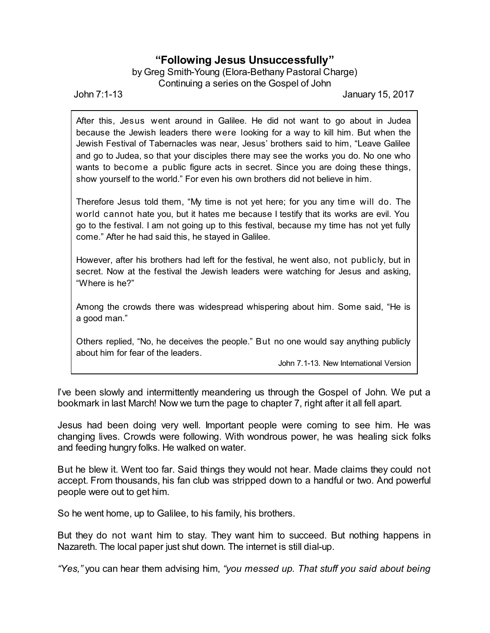## **"Following Jesus Unsuccessfully"**

by Greg Smith-Young (Elora-Bethany Pastoral Charge) Continuing a series on the Gospel of John

John 7:1-13 January 15, 2017

After this, Jesus went around in Galilee. He did not want to go about in Judea because the Jewish leaders there were looking for a way to kill him. But when the Jewish Festival of Tabernacles was near, Jesus' brothers said to him, "Leave Galilee and go to Judea, so that your disciples there may see the works you do. No one who wants to become a public figure acts in secret. Since you are doing these things, show yourself to the world." For even his own brothers did not believe in him.

Therefore Jesus told them, "My time is not yet here; for you any time will do. The world cannot hate you, but it hates me because I testify that its works are evil. You go to the festival. I am not going up to this festival, because my time has not yet fully come." After he had said this, he stayed in Galilee.

However, after his brothers had left for the festival, he went also, not publicly, but in secret. Now at the festival the Jewish leaders were watching for Jesus and asking, "Where is he?"

Among the crowds there was widespread whispering about him. Some said, "He is a good man."

Others replied, "No, he deceives the people." But no one would say anything publicly about him for fear of the leaders.

John 7.1-13. New International Version

I've been slowly and intermittently meandering us through the Gospel of John. We put a bookmark in last March! Now we turn the page to chapter 7, right after it all fell apart.

Jesus had been doing very well. Important people were coming to see him. He was changing lives. Crowds were following. With wondrous power, he was healing sick folks and feeding hungry folks. He walked on water.

But he blew it. Went too far. Said things they would not hear. Made claims they could not accept. From thousands, his fan club was stripped down to a handful or two. And powerful people were out to get him.

So he went home, up to Galilee, to his family, his brothers.

But they do not want him to stay. They want him to succeed. But nothing happens in Nazareth. The local paper just shut down. The internet is still dial-up.

*"Yes,"* you can hear them advising him, *"you messed up. That stuff you said about being*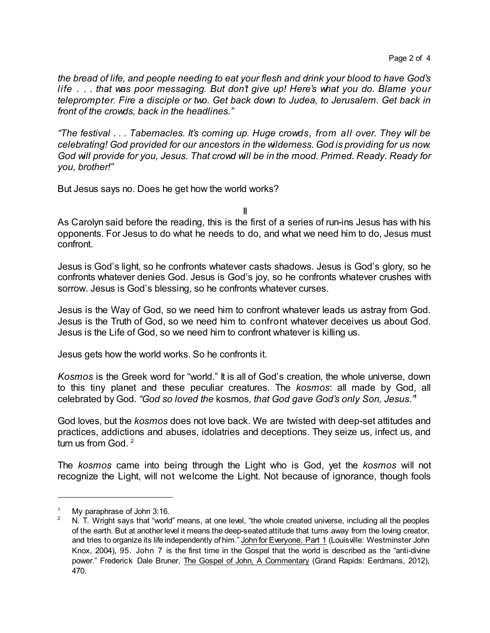*the bread of life, and people needing to eat your flesh and drink your blood to have God's life . . . that was poor messaging. But don't give up! Here's what you do. Blame your teleprompter. Fire a disciple or two. Get back down to Judea, to Jerusalem. Get back in front of the crowds, back in the headlines."*

*"The festival . . . Tabernacles. It's coming up. Huge crowds, from all over. They will be celebrating! God provided for our ancestors in the wilderness. God is providing for us now. God will provide for you, Jesus. That crowd will be in the mood. Primed. Ready. Ready for you, brother!"*

But Jesus says no. Does he get how the world works?

II

As Carolyn said before the reading, this is the first of a series of run-ins Jesus has with his opponents. For Jesus to do what he needs to do, and what we need him to do, Jesus must confront.

Jesus is God's light, so he confronts whatever casts shadows. Jesus is God's glory, so he confronts whatever denies God. Jesus is God's joy, so he confronts whatever crushes with sorrow. Jesus is God's blessing, so he confronts whatever curses.

Jesus is the Way of God, so we need him to confront whatever leads us astray from God. Jesus is the Truth of God, so we need him to confront whatever deceives us about God. Jesus is the Life of God, so we need him to confront whatever is killing us.

Jesus gets how the world works. So he confronts it.

*Kosmos* is the Greek word for "world." It is all of God's creation, the whole universe, down to this tiny planet and these peculiar creatures. The *kosmos*: all made by God, all celebrated by God. *"God so loved the* kosmos*, that God gave God's only Son, Jesus."* 1

God loves, but the *kosmos* does not love back. We are twisted with deep-set attitudes and practices, addictions and abuses, idolatries and deceptions. They seize us, infect us, and turn us from God.<sup>2</sup>

The *kosmos* came into being through the Light who is God, yet the *kosmos* will not recognize the Light, will not welcome the Light. Not because of ignorance, though fools

My paraphrase of John 3:16.

<sup>2</sup> N. T. Wright says that "world" means, at one level, "the whole created universe, including all the peoples of the earth. But at another level it means the deep-seated attitude that turns away from the loving creator, and tries to organize its life independently of him." John for Everyone, Part 1 (Louisville: Westminster John Knox, 2004), 95. John 7 is the first time in the Gospel that the world is described as the "anti-divine power." Frederick Dale Bruner, The Gospel of John, A Commentary (Grand Rapids: Eerdmans, 2012), 470.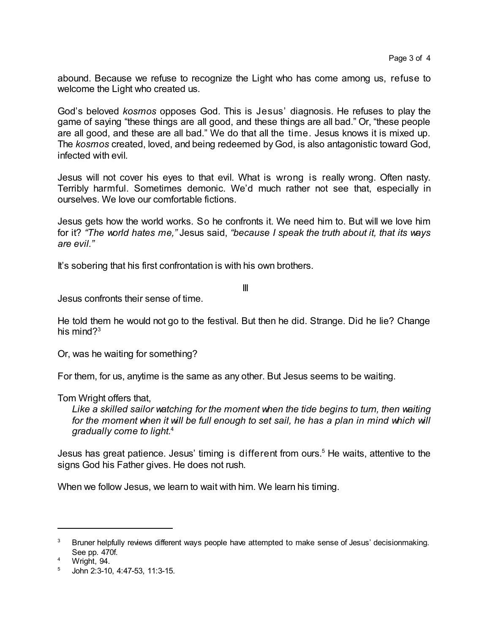abound. Because we refuse to recognize the Light who has come among us, refuse to welcome the Light who created us.

God's beloved *kosmos* opposes God. This is Jesus' diagnosis. He refuses to play the game of saying "these things are all good, and these things are all bad." Or, "these people are all good, and these are all bad." We do that all the time. Jesus knows it is mixed up. The *kosmos* created, loved, and being redeemed by God, is also antagonistic toward God, infected with evil.

Jesus will not cover his eyes to that evil. What is wrong is really wrong. Often nasty. Terribly harmful. Sometimes demonic. We'd much rather not see that, especially in ourselves. We love our comfortable fictions.

Jesus gets how the world works. So he confronts it. We need him to. But will we love him for it? *"The world hates me,"* Jesus said, *"because I speak the truth about it, that its ways are evil."*

It's sobering that his first confrontation is with his own brothers.

III

Jesus confronts their sense of time.

He told them he would not go to the festival. But then he did. Strange. Did he lie? Change his mind $2^3$ 

Or, was he waiting for something?

For them, for us, anytime is the same as any other. But Jesus seems to be waiting.

Tom Wright offers that,

*Like a skilled sailor watching for the moment when the tide begins to turn, then waiting for the moment when it will be full enough to set sail, he has a plan in mind which will gradually come to light.* 4

Jesus has great patience. Jesus' timing is different from ours.<sup>5</sup> He waits, attentive to the signs God his Father gives. He does not rush.

When we follow Jesus, we learn to wait with him. We learn his timing.

<sup>&</sup>lt;sup>3</sup> Bruner helpfully reviews different ways people have attempted to make sense of Jesus' decisionmaking. See pp. 470f.

<sup>4</sup> Wright, 94.

<sup>5</sup> John 2:3-10, 4:47-53, 11:3-15.